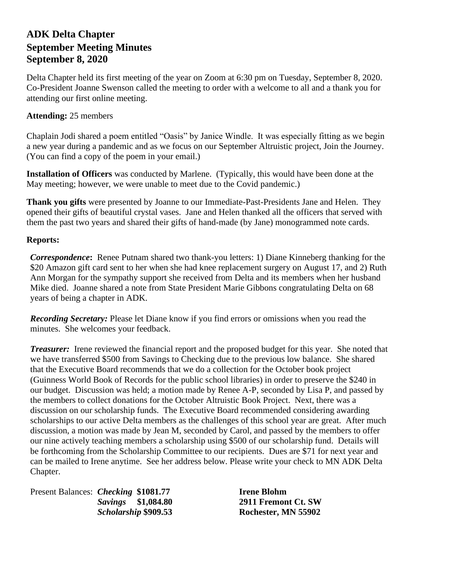# **ADK Delta Chapter September Meeting Minutes September 8, 2020**

Delta Chapter held its first meeting of the year on Zoom at 6:30 pm on Tuesday, September 8, 2020. Co-President Joanne Swenson called the meeting to order with a welcome to all and a thank you for attending our first online meeting.

### **Attending:** 25 members

Chaplain Jodi shared a poem entitled "Oasis" by Janice Windle. It was especially fitting as we begin a new year during a pandemic and as we focus on our September Altruistic project, Join the Journey. (You can find a copy of the poem in your email.)

**Installation of Officers** was conducted by Marlene. (Typically, this would have been done at the May meeting; however, we were unable to meet due to the Covid pandemic.)

**Thank you gifts** were presented by Joanne to our Immediate-Past-Presidents Jane and Helen. They opened their gifts of beautiful crystal vases. Jane and Helen thanked all the officers that served with them the past two years and shared their gifts of hand-made (by Jane) monogrammed note cards.

#### **Reports:**

*Correspondence***:** Renee Putnam shared two thank-you letters: 1) Diane Kinneberg thanking for the \$20 Amazon gift card sent to her when she had knee replacement surgery on August 17, and 2) Ruth Ann Morgan for the sympathy support she received from Delta and its members when her husband Mike died. Joanne shared a note from State President Marie Gibbons congratulating Delta on 68 years of being a chapter in ADK.

*Recording Secretary:* Please let Diane know if you find errors or omissions when you read the minutes. She welcomes your feedback.

*Treasurer:* Irene reviewed the financial report and the proposed budget for this year. She noted that we have transferred \$500 from Savings to Checking due to the previous low balance. She shared that the Executive Board recommends that we do a collection for the October book project (Guinness World Book of Records for the public school libraries) in order to preserve the \$240 in our budget. Discussion was held; a motion made by Renee A-P, seconded by Lisa P, and passed by the members to collect donations for the October Altruistic Book Project. Next, there was a discussion on our scholarship funds. The Executive Board recommended considering awarding scholarships to our active Delta members as the challenges of this school year are great. After much discussion, a motion was made by Jean M, seconded by Carol, and passed by the members to offer our nine actively teaching members a scholarship using \$500 of our scholarship fund. Details will be forthcoming from the Scholarship Committee to our recipients. Dues are \$71 for next year and can be mailed to Irene anytime. See her address below. Please write your check to MN ADK Delta Chapter.

Present Balances: *Checking* \$1081.77 **Irene Blohm** 

 *Savings* **\$1,084.80 2911 Fremont Ct. SW** *Scholarship* **\$909.53 Rochester, MN 55902**